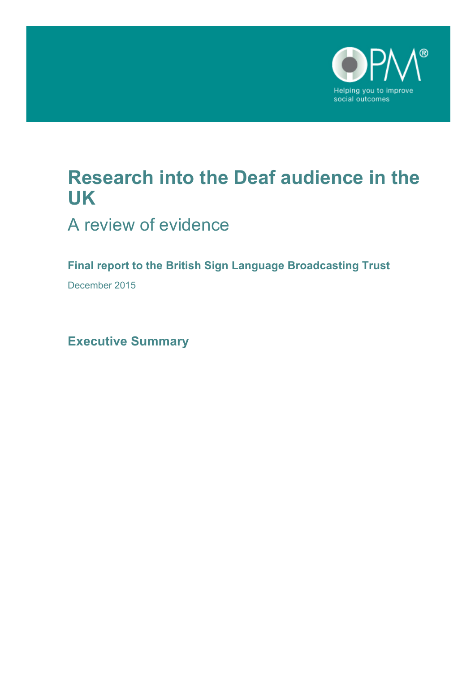

# **Research into the Deaf audience in the UK**

A review of evidence

**Final report to the British Sign Language Broadcasting Trust**

December 2015

**Executive Summary**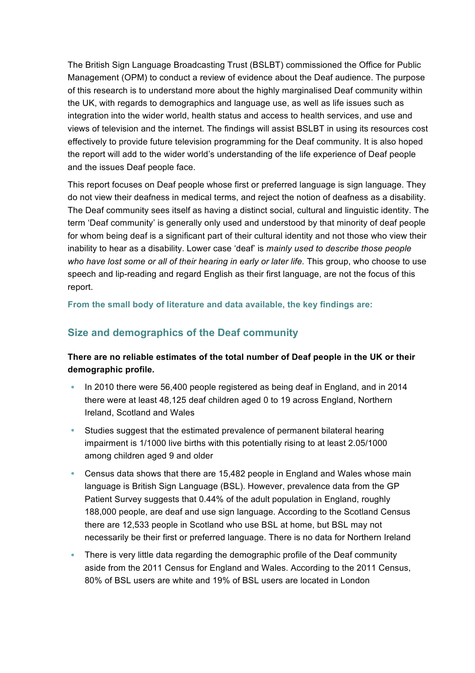The British Sign Language Broadcasting Trust (BSLBT) commissioned the Office for Public Management (OPM) to conduct a review of evidence about the Deaf audience. The purpose of this research is to understand more about the highly marginalised Deaf community within the UK, with regards to demographics and language use, as well as life issues such as integration into the wider world, health status and access to health services, and use and views of television and the internet. The findings will assist BSLBT in using its resources cost effectively to provide future television programming for the Deaf community. It is also hoped the report will add to the wider world's understanding of the life experience of Deaf people and the issues Deaf people face.

This report focuses on Deaf people whose first or preferred language is sign language. They do not view their deafness in medical terms, and reject the notion of deafness as a disability. The Deaf community sees itself as having a distinct social, cultural and linguistic identity. The term 'Deaf community' is generally only used and understood by that minority of deaf people for whom being deaf is a significant part of their cultural identity and not those who view their inability to hear as a disability. Lower case 'deaf' is *mainly used to describe those people*  who have lost some or all of their hearing in early or later life. This group, who choose to use speech and lip-reading and regard English as their first language, are not the focus of this report.

**From the small body of literature and data available, the key findings are:**

## **Size and demographics of the Deaf community**

**There are no reliable estimates of the total number of Deaf people in the UK or their demographic profile.**

- In 2010 there were 56,400 people registered as being deaf in England, and in 2014 there were at least 48,125 deaf children aged 0 to 19 across England, Northern Ireland, Scotland and Wales
- Studies suggest that the estimated prevalence of permanent bilateral hearing impairment is 1/1000 live births with this potentially rising to at least 2.05/1000 among children aged 9 and older
- Census data shows that there are 15,482 people in England and Wales whose main language is British Sign Language (BSL). However, prevalence data from the GP Patient Survey suggests that 0.44% of the adult population in England, roughly 188,000 people, are deaf and use sign language. According to the Scotland Census there are 12,533 people in Scotland who use BSL at home, but BSL may not necessarily be their first or preferred language. There is no data for Northern Ireland
- There is very little data regarding the demographic profile of the Deaf community aside from the 2011 Census for England and Wales. According to the 2011 Census, 80% of BSL users are white and 19% of BSL users are located in London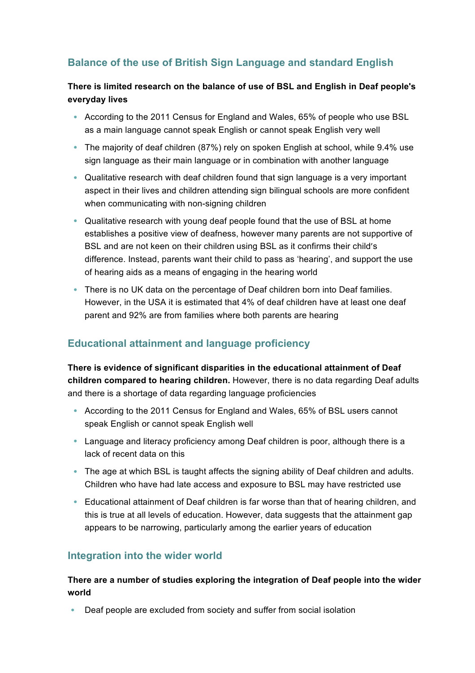## **Balance of the use of British Sign Language and standard English**

#### **There is limited research on the balance of use of BSL and English in Deaf people's everyday lives**

- According to the 2011 Census for England and Wales, 65% of people who use BSL as a main language cannot speak English or cannot speak English very well
- The majority of deaf children (87%) rely on spoken English at school, while 9.4% use sign language as their main language or in combination with another language
- Qualitative research with deaf children found that sign language is a very important aspect in their lives and children attending sign bilingual schools are more confident when communicating with non-signing children
- Qualitative research with young deaf people found that the use of BSL at home establishes a positive view of deafness, however many parents are not supportive of BSL and are not keen on their children using BSL as it confirms their child's difference. Instead, parents want their child to pass as 'hearing', and support the use of hearing aids as a means of engaging in the hearing world
- There is no UK data on the percentage of Deaf children born into Deaf families. However, in the USA it is estimated that 4% of deaf children have at least one deaf parent and 92% are from families where both parents are hearing

## **Educational attainment and language proficiency**

**There is evidence of significant disparities in the educational attainment of Deaf children compared to hearing children.** However, there is no data regarding Deaf adults and there is a shortage of data regarding language proficiencies

- According to the 2011 Census for England and Wales, 65% of BSL users cannot speak English or cannot speak English well
- Language and literacy proficiency among Deaf children is poor, although there is a lack of recent data on this
- The age at which BSL is taught affects the signing ability of Deaf children and adults. Children who have had late access and exposure to BSL may have restricted use
- Educational attainment of Deaf children is far worse than that of hearing children, and this is true at all levels of education. However, data suggests that the attainment gap appears to be narrowing, particularly among the earlier years of education

## **Integration into the wider world**

#### **There are a number of studies exploring the integration of Deaf people into the wider world**

• Deaf people are excluded from society and suffer from social isolation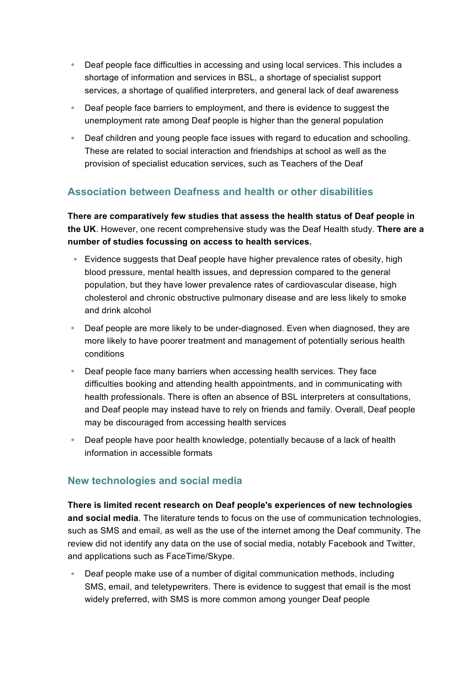- Deaf people face difficulties in accessing and using local services. This includes a shortage of information and services in BSL, a shortage of specialist support services, a shortage of qualified interpreters, and general lack of deaf awareness
- Deaf people face barriers to employment, and there is evidence to suggest the unemployment rate among Deaf people is higher than the general population
- Deaf children and young people face issues with regard to education and schooling. These are related to social interaction and friendships at school as well as the provision of specialist education services, such as Teachers of the Deaf

## **Association between Deafness and health or other disabilities**

**There are comparatively few studies that assess the health status of Deaf people in the UK**. However, one recent comprehensive study was the Deaf Health study. **There are a number of studies focussing on access to health services.**

- Evidence suggests that Deaf people have higher prevalence rates of obesity, high blood pressure, mental health issues, and depression compared to the general population, but they have lower prevalence rates of cardiovascular disease, high cholesterol and chronic obstructive pulmonary disease and are less likely to smoke and drink alcohol
- Deaf people are more likely to be under-diagnosed. Even when diagnosed, they are more likely to have poorer treatment and management of potentially serious health conditions
- Deaf people face many barriers when accessing health services. They face difficulties booking and attending health appointments, and in communicating with health professionals. There is often an absence of BSL interpreters at consultations, and Deaf people may instead have to rely on friends and family. Overall, Deaf people may be discouraged from accessing health services
- Deaf people have poor health knowledge, potentially because of a lack of health information in accessible formats

## **New technologies and social media**

**There is limited recent research on Deaf people's experiences of new technologies and social media**. The literature tends to focus on the use of communication technologies, such as SMS and email, as well as the use of the internet among the Deaf community. The review did not identify any data on the use of social media, notably Facebook and Twitter, and applications such as FaceTime/Skype.

• Deaf people make use of a number of digital communication methods, including SMS, email, and teletypewriters. There is evidence to suggest that email is the most widely preferred, with SMS is more common among younger Deaf people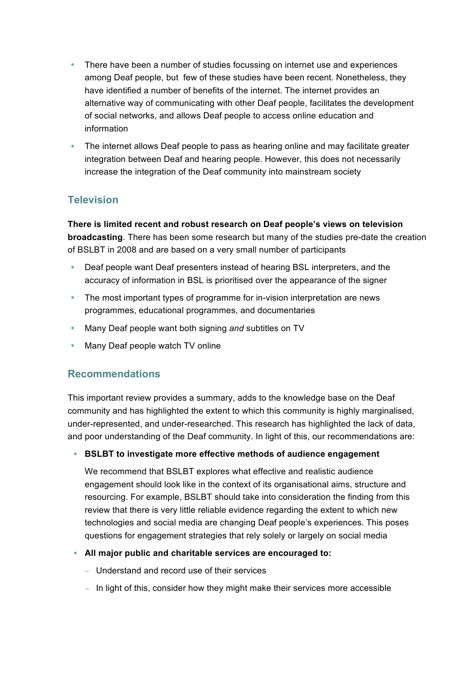- There have been a number of studies focussing on internet use and experiences among Deaf people, but few of these studies have been recent. Nonetheless, they have identified a number of benefits of the internet. The internet provides an alternative way of communicating with other Deaf people, facilitates the development of social networks, and allows Deaf people to access online education and information
- The internet allows Deaf people to pass as hearing online and may facilitate greater integration between Deaf and hearing people. However, this does not necessarily increase the integration of the Deaf community into mainstream society

## **Television**

**There is limited recent and robust research on Deaf people's views on television broadcasting**. There has been some research but many of the studies pre-date the creation of BSLBT in 2008 and are based on a very small number of participants

- Deaf people want Deaf presenters instead of hearing BSL interpreters, and the accuracy of information in BSL is prioritised over the appearance of the signer
- The most important types of programme for in-vision interpretation are news programmes, educational programmes, and documentaries
- Many Deaf people want both signing *and* subtitles on TV
- Many Deaf people watch TV online

## **Recommendations**

This important review provides a summary, adds to the knowledge base on the Deaf community and has highlighted the extent to which this community is highly marginalised, under-represented, and under-researched. This research has highlighted the lack of data, and poor understanding of the Deaf community. In light of this, our recommendations are:

#### • **BSLBT to investigate more effective methods of audience engagement**

We recommend that BSLBT explores what effective and realistic audience engagement should look like in the context of its organisational aims, structure and resourcing. For example, BSLBT should take into consideration the finding from this review that there is very little reliable evidence regarding the extent to which new technologies and social media are changing Deaf people's experiences. This poses questions for engagement strategies that rely solely or largely on social media

#### • **All major public and charitable services are encouraged to:**

- − Understand and record use of their services
- − In light of this, consider how they might make their services more accessible